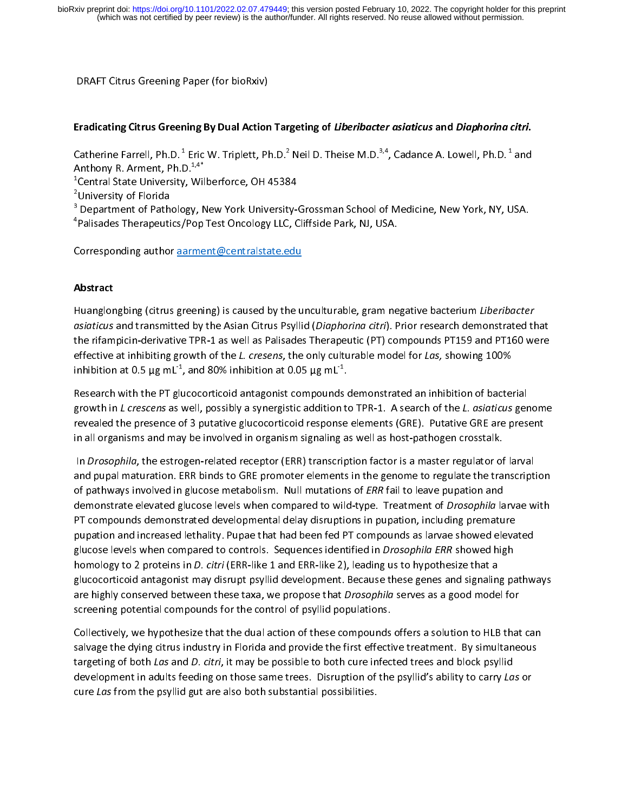# DRAFT Citrus Greening Paper (for bioRxiv)<br> **Eradicating Citrus Greening By Dual Action Targeting of** *Liberibacter asiaticus* **and** *Diaphorina citri***.<br>
Catherine Farrell, Ph.D.<sup>1</sup> Eric W. Triplett, Ph.D.<sup>2</sup> Neil D. Theise M.** Eradicating Citrus Greening By Dual Action Targeting of Liberibacter asiaticus and Diaphorina citri.

 $\begin{array}{c} 1 \\ 1 \\ 2 \end{array}$  $\frac{1}{2}$   $\frac{1}{3}$ Catherine Farrell, Ph.D. <sup>1</sup> Eric W. Triplett, Ph.D. <sup>2</sup> Neil D. Theise M.D.<sup>3,4</sup>, Cadance A. Lowell, Ph.D. <sup>1</sup> and<br>Anthony R. Arment, Ph.D.<sup>1,4\*</sup><br><sup>1</sup>Central State University, Wilberforce, OH 45384<br><sup>3</sup> Department of Pathol

<sup>2</sup>University of Florida

Anthony R. Arment, Ph.D.<sup>1,4</sup><br><sup>1</sup>Central State University, Wil<sup>2</sup>University of Florida<br><sup>3</sup> Department of Pathology, N<br><sup>4</sup>Palisades Therapeutics/Pop University of Florida<br>
Department of Pathology, New York University-<br>
Palisades Therapeutics/Pop Test Oncology LLC, C<br>
Corresponding author **aarment@centralstate.edu** <sup>3</sup> Department of Pather<br><sup>4</sup>Palisades Therapeuti<br>Corresponding author

Department of Pathology, New York University-Grossman School of Medicine, New York, NY, USA.<br>Palisades Therapeutics/Pop Test Oncology LLC, Cliffside Park, NJ, USA.<br>Corresponding author <u>aarment@centralstate.edu</u><br>Netroot ٦

Palisades Therapeutics<br>Porresponding author <u>aarment@centralstate.edu</u><br>Nostract

# Abstract

Corresponding author <u>aarment@centralstate.edu</u><br> **Abstract**<br>
Huanglongbing (citrus greening) is caused by the unculturable, gram negative bacterium *Liberibacter*<br> *asiaticus* and transmitted by the Asian Citrus Psyllid (  $\frac{1}{1}$ ridarigiongbing (citrus greening) is caused by the unculturable, gram negative bacterium Liberibucter<br>asiaticus and transmitted by the Asian Citrus Psyllid (Diaphorina citri). Prior research demonstrated the<br>the rifampici the rifampicin-derivative TPR-1 as well as Palisades Therapeutic (PT) compounds PT159 and PT160 were<br>effective at inhibiting growth of the *L. cresens*, the only culturable model for *Las*, showing 100%<br>inhibition at 0.5

effective at inhibiting growth of the *L. cresens*, the only culturable model for *Las*, showing 100%<br>inhibition at 0.5 µg mL<sup>-1</sup>, and 80% inhibition at 0.05 µg mL<sup>-1</sup>.<br>Research with the PT glucocorticoid antagonist compo inhibition at 0.5  $\mu$ g mL<sup>-1</sup>, and 80% inhibition at 0.05  $\mu$ g mL<sup>-1</sup>.<br>Research with the PT glucocorticoid antagonist compounds demonstrated an inhibition of bacter<br>growth in *L crescens* as well, possibly a synergistic inhibition at 0.5  $\mu$ g mL<sup>-</sup>, and 80% inhibition at 0.05  $\mu$ g mL<sup>-</sup>.<br>Research with the PT glucocorticoid antagonist compounds  $\epsilon$ <br>growth in *L crescens* as well, possibly a synergistic addition to<br>revealed the presence growth in *L crescens* as well, possibly a synergistic addition to TPR-1. A search of the *L. asiaticus* ger<br>revealed the presence of 3 putative glucocorticoid response elements (GRE). Putative GRE are pres<br>in all organism growth in L crescens as well, possibly a synergistic addition to TTR-1. A search of the L. asiaticus genome<br>revealed the presence of 3 putative glucocorticoid response elements (GRE). Putative GRE are present<br>in all organi

revealed the presence of produce in organism signaling as well as host-pathogen crosstalk.<br>In Drosophila, the estrogen-related receptor (ERR) transcription factor is a master regulator of larval<br>and pupal maturation. ERR b in *Drosophila*, the estrogen-related receptor (ERR) transcription factor is a master regulator of and pupal maturation. ERR binds to GRE promoter elements in the genome to regulate the tra<br>of pathways involved in glucose In Drosopima, the estrogen-related receptor (ERR) transcription factor is a master regalator of larvar<br>and pupal maturation. ERR binds to GRE promoter elements in the genome to regulate the transcript<br>of pathways involved of pathways involved in glucose metabolism. Null mutations of *ERR* fail to leave pupation and<br>demonstrate elevated glucose levels when compared to wild-type. Treatment of *Drosophila* larvae with<br>PT compounds demonstrated of pathways involved in glucose included in. Null mutations of EMN fail to leave pupation and<br>demonstrate elevated glucose levels when compared to wild-type. Treatment of *Drosophila* la<br>PT compounds demonstrated developme demonstrate clevated glucose levels when compared to what type. Treatment or *Drosophila* larvae with<br>PT compounds demonstrated developmental delay disruptions in pupation, including premature<br>pupation and increased lethal Pupation and increased lethality. Pupae that had been fed PT compounds as larvae showed eleva<br>glucose levels when compared to controls. Sequences identified in *Drosophila ERR* showed high<br>homology to 2 proteins in *D. cit* pupation and increased increased increased in the PT composed letteral pupase is alternated letteral and phomology to 2 proteins in *D. citri* (ERR-like 1 and ERR-like 2), leading us to hypothesize that a glucocorticoid an glucose levels when compared to controls. Sequences identified in *Drosophila ERR* showed high<br>homology to 2 proteins in *D. citri* (ERR-like 1 and ERR-like 2), leading us to hypothesize that a<br>glucocorticoid antagonist ma homology to 2 proteins in D. citri (ERR-like 1 and ERR-like 2), leading as to hypothesize that a<br>glucocorticoid antagonist may disrupt psyllid development. Because these genes and signaling<br>are highly conserved between the glucocortico correction and the set of the set of the propose that *Drosophila* serves as a good model for<br>screening potential compounds for the control of psyllid populations.<br>Collectively, we hypothesize that the dual ac

are highly conserved between these taxa, we propose that *Drosophila* serves as a good model for<br>screening potential compounds for the control of psyllid populations.<br>Collectively, we hypothesize that the dual action of th Collectively, we hypothesize that the dual action of these compounds<br>salvage the dying citrus industry in Florida and provide the first effecti<br>targeting of both *Las* and *D. citri*, it may be possible to both cure infec<br> Salvage the dying citrus industry in Florida and provide the first effective treatment. By simultaneous targeting of both Las and D. citri, it may be possible to both cure infected trees and block psyllid development in ad targeting of both Las and D. citri, it may be possible to both cure infected trees and block psyllid<br>development in adults feeding on those same trees. Disruption of the psyllid's ability to carry Las or<br>cure Las from the targeting or both Las and D. citri, it may be possible to both cure infected trees and block psyllid<br>development in adults feeding on those same trees. Disruption of the psyllid's ability to carry La<br>cure Las from the psyl development in adults feeding on those same trees. Disruption of the psyllid's ability to carry Las or<br>cure Las from the psyllid gut are also both substantial possibilities. cure Las from the psyllid gut are also both substantial possibilities.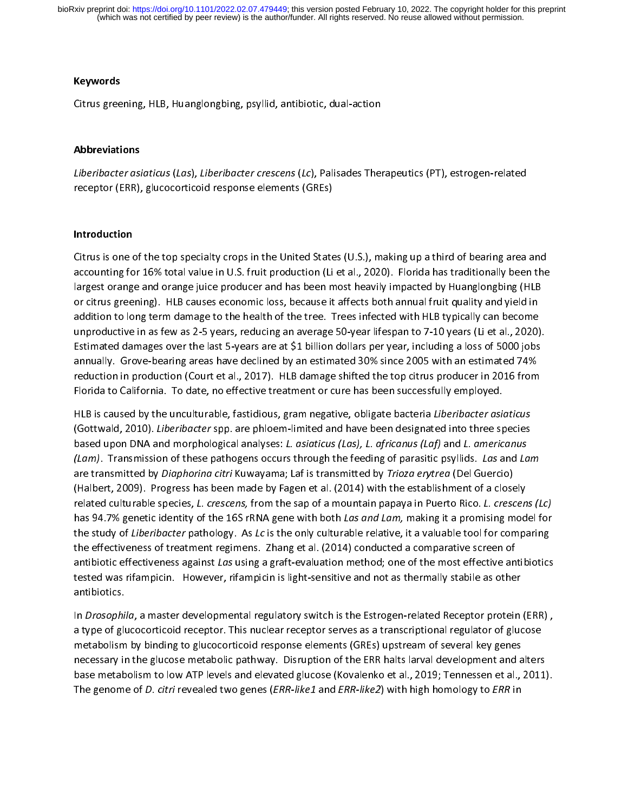Keywords<br>Citrus greening, HLB, Huanglongbing, psyllid, antibiotic, dual-action<br>Abbreviations

Liberibacter asiaticus (Las), Liberibacter crescens (Lc), Palisades Therapeutics (PT), estrogen-related  $\frac{1}{1}$ receptor (ERR), glucocorticoid response elements (GREs) Liberibacter asiaticus (Las), Liberibacter crescens (Lc), Palisades Therapeutics (PT), estrogen-related<br>receptor (ERR), glucocorticoid response elements (GREs)<br>Introduction

# Introduction

Citrus is one of the top specialty crops in the United States (U.S.), making up a third of bearing area and  $\frac{1}{\epsilon}$ accounting for 16% total value in U.S. fruit production (Li et al., 2020). Florida has traditionally been the<br>largest orange and orange juice producer and has been most heavily impacted by Huanglongbing (HLB<br>or citrus gree largest orange and orange juice producer and has been most heavily impacted by Huanglongbing (HLB or citrus greening). HLB causes economic loss, because it affects both annual fruit quality and yield in addition to long te addition to long term damage to the health of the tree. Trees infected with HLB typically can become addition to long term damage to the health of the tree. Trees infected with HLB typically can become<br>unproductive in as few as 2-5 years, reducing an average 50-year lifespan to 7-10 years (Li et al., 2020)<br>Estimated damag and to long term damage to different of the health of the tree interest in the left of pleans (Li et al., 2020)<br>Lestimated damages over the last 5-years are at \$1 billion dollars per year, including a loss of 5000 jobs<br>ann unproductive in as few as 2-5 years, reducing an average 19 years parally. The interpent of the United Section<br>Estimated damages over the last 5-years are at \$1 billion dollars per year, including a loss of 5000 jobs<br>annua annually. Grove-bearing areas have declined by an estimated 30% since 2005 with an estimated 74%<br>reduction in production (Court et al., 2017). HLB damage shifted the top citrus producer in 2016 from<br>Florida to California. annually. The reasoning areas have declined by an estimated settember of the annual seminated rate<br>reduction in production (Court et al., 2017). HLB damage shifted the top citrus producer in 2016 from<br>Florida to California

Florida to California. To date, no effective treatment or cure has been successfully employed.<br>HLB is caused by the unculturable, fastidious, gram negative, obligate bacteria *Liberibacter asiaticus*<br>(Gottwald, 2010). *Lib* HLB is caused by the unculturable, fastidious, gram negative, obligate bacteria *Liberibacter asid*<br>(Gottwald, 2010). *Liberibacter spp. are phloem-limited and have been designated into three sp*<br>based upon DNA and morphol HEB is caused by the unculturable, fastidious, gram negative, obligate bacteria Eberbacter asiaticus<br>(Gottwald, 2010). *Liberibacter* spp. are phloem-limited and have been designated into three species<br>based upon DNA and m (Gottwald, 2010). *Libeributter spp.* are phloem-limited and have been designated into three species<br>based upon DNA and morphological analyses: *L. asiaticus (Las), L. africanus (Laf)* and *L. americanus*<br>(*Lam*). Transmis based upon DNA and morphological analyses. *L. ustaticus (Lus), L. ufficultus (Luff* and *L. uffercentus*<br>(Lam). Transmission of these pathogens occurs through the feeding of parasitic psyllids. Las and La<br>are transmitted (Lam). Transmission of these pathogens occurs through the reeding of parasitic psyllids. Las and Lam<br>are transmitted by *Diaphorina citri* Kuwayama; Laf is transmitted by *Trioza erytrea* (Del Guercio)<br>(Halbert, 2009). Pro are transmitted by *Diaphorma citri* Kawayama, Laf is transmitted by *Trioza erytrea* (Del Guercio)<br>(Halbert, 2009). Progress has been made by Fagen et al. (2014) with the establishment of a close<br>related culturable specie related culturable species, *L. crescens*, from the sap of a mountain papaya in Puerto Rico. *L. crescen*<br>has 94.7% genetic identity of the 16S rRNA gene with both *Las and Lam*, making it a promising mod<br>the study of *Lib* related culturable species, L. crescens, from the sap of a mountain papaya in Fuerto Rico. L. crescens (Lc)<br>has 94.7% genetic identity of the 16S rRNA gene with both *Las and Lam*, making it a promising model for<br>the study has 94.7% genetic identity of the 16S rRNA gene with both Las and Lam, making it a promising model for<br>the study of *Liberibacter* pathology. As *Lc* is the only culturable relative, it a valuable tool for comparing<br>the ef the study of *Liberhouter* pathology. As Le is the only culturable relative, it a valuable tool for comparing<br>the effectiveness of treatment regimens. Zhang et al. (2014) conducted a comparative screen of<br>antibiotic effect the entertheness of treatment regiments. Theng examples the enterth is exampled a control of the stated was rifampicin. However, rifampicin is light-sensitive and not as thermally stabile as other antibiotics.<br>Antibiotics. antibiotic effectiveness against Las using a graft-evaluation method; one of the most effective antibiotics<br>tested was rifampicin. However, rifampicin is light-sensitive and not as thermally stabile as other<br>antibiotics.<br>I

antibiotics.<br>In *Drosophila*, a master developmental regulatory switch is the Estrogen-related Receptor protein<br>a type of glucocorticoid receptor. This nuclear receptor serves as a transcriptional regulator of gluc<br>metabol and<br>In *Drosophi*<br>a type of glu<br>metabolism<br>necessary ir In Drosophila, a master developmental regulatory switch is the Estrogen-related Receptor protein (ERR) ,<br>a type of glucocorticoid receptor. This nuclear receptor serves as a transcriptional regulator of glucose<br>metabolism a type of glucocorticoid response elements (GREs) upstream of several key genes<br>necessary in the glucose metabolic pathway. Disruption of the ERR halts larval development and alters<br>base metabolism to low ATP levels and el mecessary in the glucose metabolic pathway. Disruption of the ERR halts larval development and a<br>base metabolism to low ATP levels and elevated glucose (Kovalenko et al., 2019; Tennessen et al.,<br>The genome of *D. citri* re base metabolism to low ATP levels and elevated glucose (Kovalenko et al., 2019; Tennessen et al., 2011). The genome of D. citri revealed two genes (ERR-like1 and ERR-like2) with high homology to ERR in The genome of D. citri revealed two genes (ERR-like1 and ERR-like2) with high homology to ERR in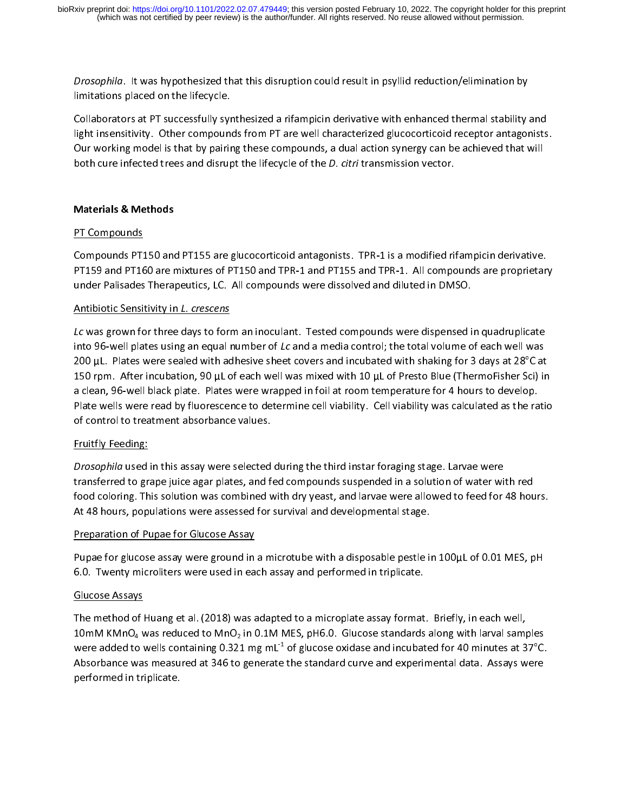Drosophila. It was hypothesized that this disruption could result in psyllid reduction/elimination by<br>Ilmitations placed on the lifecycle.<br>Collaborators at PT successfully synthesized a rifampicin derivative with enhanced Minimitation placed on the lively state<br>Collaborators at PT successfully syi<br>light insensitivity. Other compoun<br>Our working model is that by pairir<br>both cure infected trees and disrup light insensitivity. Other compounds from PT are well characterized glucocorticoid receptor antagonists. Our working model is that by pairing these compounds, a dual action synergy can be achieved that will both cure infected trees and disrupt the lifecycle of the *D. citri* transmission vector.<br>Materials & Methods both cure infected trees and disrupt the lifecycle of the D. citri transmission vector. both cure infected trees and disrupt the lifecycle of the D. citri transmission vector.<br>Materials & Methods<br><u>PT Compounds</u>

**PT Compounds<br>PT Compounds<br>Compounds PT150 and<br>PT159 and PT160 are runder Palisades Theral** TARRET<br>Compounds PT1<br>PT159 and PT16<br>under Palisades<br>Antibiotic Sensi PT159 and PT160 are mixtures of PT150 and TPR-1 and PT155 and TPR-1. All compounds are proprietar<br>under Palisades Therapeutics, LC. All compounds were dissolved and diluted in DMSO.<br>Antibiotic Sensitivity in *L. crescens*<br>

PT159 and PT159 are minimized of PT160 and PP150 and PT150 and PT160 and BDMSO.<br>Antibiotic Sensitivity in L. crescens<br>Lc was grown for three days to form an inoculant. Tested compounds were dispensed in quadruplicate<br>into under Constant Palisades Therapeutics, LCC. All compounds there are all constant compounds were dispensed into 96-well plates using an equal number of *Lc* and a media control; the total volume of 200 uL. Plates were seale **Antibiotic Sensitivity IIT 2. Crescens**<br>Lc was grown for three days to form<br>into 96-well plates using an equal r<br>200 µL. Plates were sealed with ac<br>150 rpm. After incubation, 90 µL o Lc was grown for three days to form an inoculant. Tested compounds were dispensed in quadrupheate<br>into 96-well plates using an equal number of Lc and a media control; the total volume of each well was<br>200 µL. Plates were s into 50-well plates using an equal number of Lc and a media control; the total volume of each well was<br>200 µL. Plates were sealed with adhesive sheet covers and incubated with shaking for 3 days at 28°C at<br>150 rpm. After i 200 µL. Plates were sealed with adhesive sheet covers and incubated with shaking for 3 days at 28°C at 150 rpm. After incubation, 90 µL of each well was mixed with 10 µL of Presto Blue (ThermoFisher Sci) in a clean, 96-wel a clean, 96-well black plate. Plates were wrapped in foil at room temperature for 4 hours to develop.<br>Plate wells were read by fluorescence to determine cell viability. Cell viability was calculated as the ratio<br>of control Plate wells were read by fluorescence to determine cell viability. Cell viability was calculated as the ra<br>of control to treatment absorbance values.<br>Fruitfly Feeding:<br>Drosophila used in this assay were selected during the

Plate were read by fluorescence to determine to determine, the reading was calculated as the ratio<br>Pruitfly Feeding:<br>Prosophila used in this assay were selected during the third instar foraging stage. Larvae were<br>transferr **Example 2 Control to the control to the Control Control Control Control Control Control Control Control Control**<br>*Drosophila* used in this assay were selected<br>transferred to grape juice agar plates, and finded with finded *CHAMA CHAMA*<br>*Drosophila* used<br>transferred to gra<br>food coloring. Th<br>At 48 hours, pop Drosophila used in this assay were selected during the third instar foraging stage. Larvae were<br>transferred to grape juice agar plates, and fed compounds suspended in a solution of water wi<br>food coloring. This solution was transferred to grape juice agar plates, and reduped under the compounds to feed for 48 hours and a developmental stage.<br>At 48 hours, populations were assessed for survival and developmental stage.<br>Preparation of Pupae for At 48 hours, populations were assessed for survival and developmental stage.<br>Preparation of Pupae for Glucose Assay<br>Pupae for glucose assay were ground in a microtube with a disposable pestle in 100µL of 0.01 MES, pH

Preparation of Pupae for Glucose Assay<br>Pupae for glucose assay were ground in a microtube with a disposable pestle in<br>6.0. Twenty microliters were used in each assay and performed in triplicate. Pupae for glucose assay were ground in<br>6.0. Twenty microliters were used in ea<br>Glucose Assays

Fupal Times for glucose Assays and performed in triplicate.<br>Pupase Assays<br>The method of Huang et al. (2018) was adapted to a microplate assay format. Briefly, in each well,<br>The method of Huang et al. (2018) was adapted to Glucose Assays<br>Glucose Assays<br>The method of Huang et al. (2018) was adapted to a microplate assay format<br>10mM KMnO<sub>4</sub> was reduced to MnO<sub>2</sub> in 0.1M MES, pH6.0. Glucose standards<br>were added to wells containing 0.321 mg ml<sup>-</sup> The method of I<br>The method of I<br>10mM KMnO<sub>4</sub> v<br>were added to v<br>Absorbance was The method of Huang et al. (2019) was numbered to  $\text{MnO}_2$  in 0.1M MES, pH6.0. Glucose standards along with larval samp<br>were added to wells containing 0.321 mg mL<sup>-1</sup> of glucose oxidase and incubated for 40 minutes at 3 were added to wells containing 0.321 mg mL<sup>-1</sup> of glucose oxidase and incubated for 40 minutes at 37<sup>o</sup>C.<br>Absorbance was measured at 346 to generate the standard curve and experimental data. Assays were<br>performed in tripl Absorbance was measured at 346 to generate the standard curve and experimental data. Assays were performed in triplicate. e.<br>e Absorbance was measured at 346 to 346 to 346 to 346 to 346 to generate the standard curve and experimental data. Assays were performed in triplicate. performed in triplicate.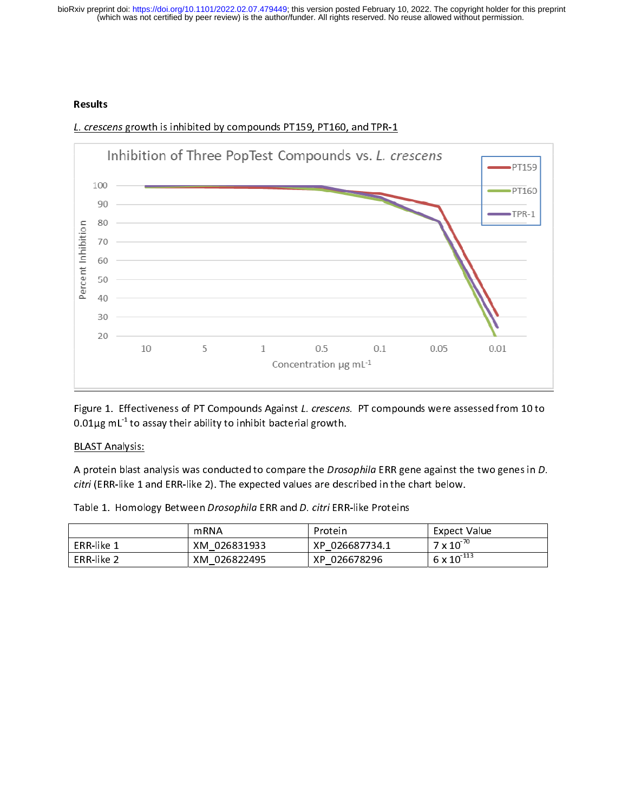(which was not certified by peer review) is the author/funder. All rights reserved. No reuse allowed without permission. bioRxiv preprint doi: [https://doi.org/10.1101/2022.02.07.479449;](https://doi.org/10.1101/2022.02.07.479449) this version posted February 10, 2022. The copyright holder for this preprint



L. crescens growth is inhibited by compounds PT159, PT160, and TPR-1

Figure 1. Effectiveness of PT Compounds Against L. crescens. PT compounds were assessed from 10 to  $0.01\mu$ g mL $^{-}$ to assay their ability to inhibit bacterial growth.

# BLAST Analysis:

A protein blast analysis was conducted to compare the *Drosophila* ERR gene against the two genes in D. citri (ERR-like 1 and ERR-like 2). The expected values are described in the chart below.

|            | mRNA                                                                 | Protein                | Expect Value                            |
|------------|----------------------------------------------------------------------|------------------------|-----------------------------------------|
| ERR-like 1 | XM 026831933                                                         | XP 026687734.1         | $7 \times 10^{-70}$                     |
| --- - -    | $\overline{1111}$ $\overline{122}$ $\overline{122}$ $\overline{121}$ | $\mathbf{v}$ contracts | $\sim$ -113<br>$\overline{\phantom{a}}$ |

ERR-like 2 XM\_026822495 XP\_026678296 6 x 10<sup>-11</sup>

Table 1. Homology Between Drosophila ERR and D. citri ERR-like Proteins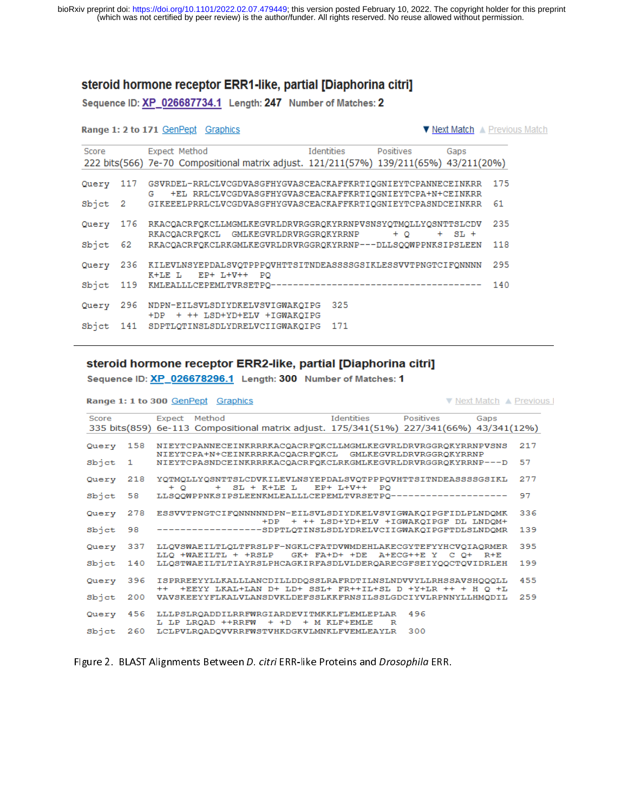# steroid hormone receptor ERR1-like, partial [Diaphorina citri]

Sequence ID: XP\_026687734.1 Length: 247 Number of Matches: 2

## Range 1: 2 to 171 GenPept Graphics

Bonne 1: 1 to 888 ConDont Cropbise

▼ Next Match A Previous Match

| Score   |     | Expect Method                                                                                                                 | Identities | Positives | Gaps       |     |
|---------|-----|-------------------------------------------------------------------------------------------------------------------------------|------------|-----------|------------|-----|
|         |     | 222 bits(566) 7e-70 Compositional matrix adjust. 121/211(57%) 139/211(65%) 43/211(20%)                                        |            |           |            |     |
| Query   | 117 | GSVRDEL-RRLCLVCGDVASGFHYGVASCEACKAFFKRTIQGNIEYTCPANNECEINKRR<br>+EL RRLCLVCGDVASGFHYGVASCEACKAFFKRTIQGNIEYTCPA+N+CEINKRR<br>G |            |           |            | 175 |
| Sbjct 2 |     | GIKEEELPRRLCLVCGDVASGFHYGVASCEACKAFFKRTIQGNIEYTCPASNDCEINKRR                                                                  |            |           |            | 61  |
| Query   | 176 | RKACOACRFOKCLLMGMLKEGVRLDRVRGGROKYRRNPVSNSYOTMOLLYOSNTTSLCDV<br>RKACOACRFOKCL GMLKEGVRLDRVRGGROKYRRNP                         |            | $+$ 0     | $+$ SL $+$ | 235 |
| Sbjet   | 62  | RKACQACRFQKCLRKGMLKEGVRLDRVRGGRQKYRRNP---DLLSQQWPPNKSIPSLEEN                                                                  |            |           |            | 118 |
| Query   | 236 | KILEVLNSYEPDALSVOTPPPOVHTTSITNDEASSSGGSIKLESSVVTPNGTCIFONNNN<br>K+LE L<br>$EP+ L+V++ PO$                                      |            |           |            | 295 |
| Sbjet   | 119 |                                                                                                                               |            |           |            | 140 |
| Query   | 296 | NDPN-EILSVLSDIYDKELVSVIGWAKOIPG<br>+DP + ++ LSD+YD+ELV +IGWAKQIPG                                                             | 325        |           |            |     |
| Sbict   | 141 | SDPTLOTINSLSDLYDRELVCIIGWAKOIPG                                                                                               | 171        |           |            |     |

# steroid hormone receptor ERR2-like, partial [Diaphorina citri]

Sequence ID: XP\_026678296.1 Length: 300 Number of Matches: 1

|           |                |               | Range 1: 1 to 300 GenPept Graphics |                                                                                                                             |                                           |     |      | ▼ Next Match ▲ Previous I |
|-----------|----------------|---------------|------------------------------------|-----------------------------------------------------------------------------------------------------------------------------|-------------------------------------------|-----|------|---------------------------|
| Score     |                | Expect Method |                                    | 335 bits(859) 6e-113 Compositional matrix adjust. 175/341(51%) 227/341(66%) 43/341(12%)                                     | Identities Positives                      |     | Gaps |                           |
| Query     | 158            |               |                                    | NIEYTCPANNECEINKRRRKACQACRFQKCLLMGMLKEGVRLDRVRGGRQKYRRNPVSNS<br>NIEYTCPA+N+CEINKRRRKACOACRFOKCL GMLKEGVRLDRVRGGROKYRRNP     |                                           |     |      | 217                       |
| Sbjct     | $\blacksquare$ |               |                                    | NIEYTCPASNDCEINKRRRKACQACRFQKCLRKGMLKEGVRLDRVRGGRQKYRRNP---D                                                                |                                           |     |      | 57                        |
| Query     | 218            |               |                                    | YQTMQLLYQSNTTSLCDVKILEVLNSYEPDALSVQTPPPQVHTTSITNDEASSSSGSIKL                                                                |                                           |     |      | 277                       |
| Sbjet     | 58             | $+$ O         |                                    | + SL + K+LE L EP+ L+V++ PO<br>LLSOOWPPNKSIPSLEENKMLEALLLCEPEMLTVRSETPO-------------------                                   |                                           |     |      | 97                        |
| Query     | 278            |               |                                    | ESSVVTPNGTCIFONNNNNDPN-EILSVLSDIYDKELVSVIGWAKQIPGFIDLPLNDQMK                                                                |                                           |     |      | 336                       |
| Sbjct     | 98             |               |                                    | -----------------SDPTLQTINSLSDLYDRELVCIIGWAKQIPGFTDLSLNDQMR                                                                 | +DP + ++ LSD+YD+ELV +IGWAKOIPGF DL LNDOM+ |     |      | 139                       |
| Query 337 |                |               |                                    | LLQVSWAEILTLQLTFRSLPF-NGKLCFATDVWMDEHLAKECGYTEFYYHCVQIAQRMER                                                                |                                           |     |      | 395                       |
| Sbjct     | 140            |               |                                    | LLQ +WAEILTL + +RSLP GK+ FA+D+ +DE A+ECG++E Y C O+ R+E<br>LLOSTWAEILTLTIAYRSLPHCAGKIRFASDLVLDEROARECGFSEIYOOCTOVIDRLEH      |                                           |     |      | 199                       |
| Query     | 396            |               |                                    | ISPRREEYYLLKALLLANCDILLDDQSSLRAFRDTILNSLNDVVYLLRHSSAVSHQQQLL                                                                |                                           |     |      | 455                       |
| Sbjet     | 200            |               |                                    | ++ +EEYY LKAL+LAN D+ LD+ SSL+ FR++IL+SL D +Y+LR ++ + H O +L<br>VAVSKEEYYFLKALVLANSDVKLDEFSSLKKFRNSILSSLGDCIYVLRPNNYLLHMODIL |                                           |     |      | 259                       |
| Query     | 456            |               |                                    | LLLPSLROADDILRRFWRGIARDEVITMKKLFLEMLEPLAR                                                                                   |                                           | 496 |      |                           |
| Sbjct     | 260            |               |                                    | L LP LRQAD ++RRFW + +D + M KLF+EMLE<br>LCLPVLROADOVVRRFWSTVHKDGKVLMNKLFVEMLEAYLR                                            | R                                         | 300 |      |                           |

FIgure 2. BLAST Alignments Between D. citri ERR-like Proteins and Drosophila ERR.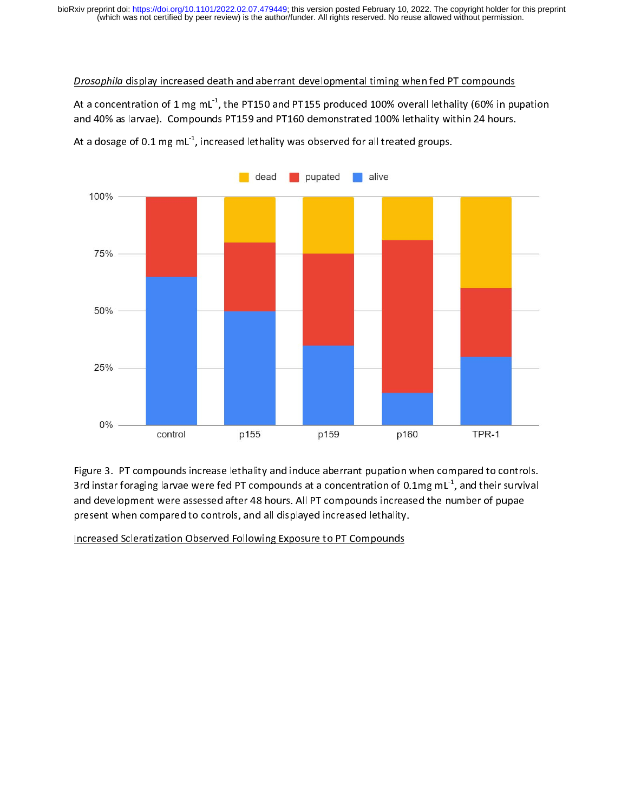## Drosophila display increased death and aberrant developmental timing when fed PT compounds

At a concentration of 1 mg mL<sup>1</sup>, the PT150 and PT155 produced 100% overall lethality (60% in pupation and 40% as larvae). Compounds PT159 and PT160 demonstrated 100% lethality within 24 hours.



At a dosage of 0.1 mg mL $^{-1}$ , increased lethality was observed for all treated groups.

Figure 3. PT compounds increase lethality and induce aberrant pupation when compared to controls.<br>Controls: Compounds increase lettiality and induce aberrant pupation when compared to controls. 3rd instar foraging larvae were fed PT compounds at a concentration of 0.1mg mL-1, and their survival and development were assessed after 48 hours. All PT compounds increased the number of pupae present when compared to controls, and all displayed increased lethality.

Increased Scleratization Observed Following Exposure to PT Compounds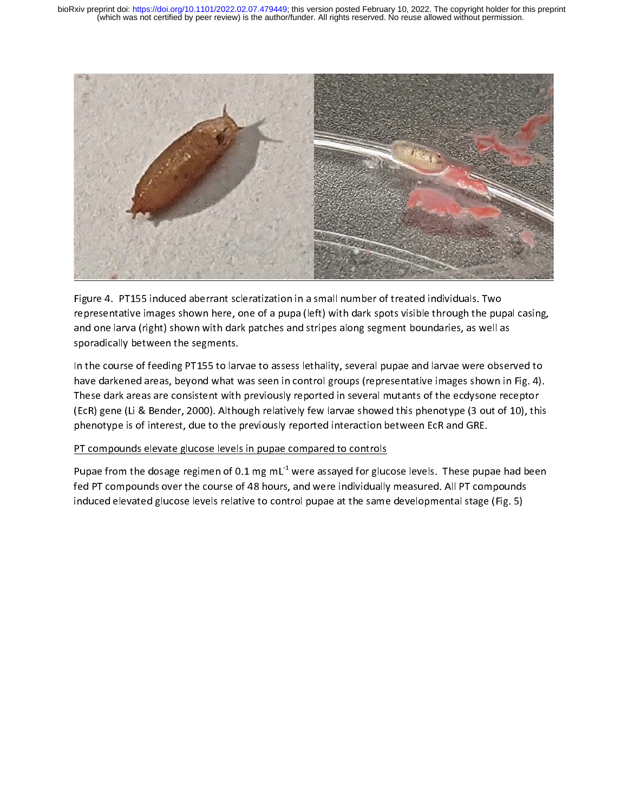

Figure 4. PT155 induced aberrant scleratization in a small number of treated individuals. Two representative images shown here, one of a pupa (left) with dark spots visible through the pupal casing, and one larva (right) shown with dark patches and stripes along segment boundaries, as well as sporadically between the segments.

In the course of feeding PT155 to larvae to assess lethality, several pupae and larvae were observed to<br>have darkened areas, beyond what was seen in control groups (representative images shown in Fig. 4). have darkened areas, beyond what was seen in control groups (representative images shown in Fig. 4). These dark areas are consistent with previously reported in several mutants of the ecdysone receptor (EcR) gene (Li & Bender, 2000). Although relatively few larvae showed this phenotype (3 out of 10), this phenotype is of interest, due to the previously reported interaction between EcR and GRE.

# PT compounds elevate glucose levels in pupae compared to controls

Pupae from the dosage regimen of 0.1 mg mL<sup>-1</sup> were assayed for glucose levels. These pupae had been<br>fed PT compounds over the course of 48 hours, and were individually measured. All PT compounds fed PT compounds over the course of 48 hours, and were individually measured. All PT compounds induced elevated glucose levels relative to control pupae at the same developmental stage (Fig. 5)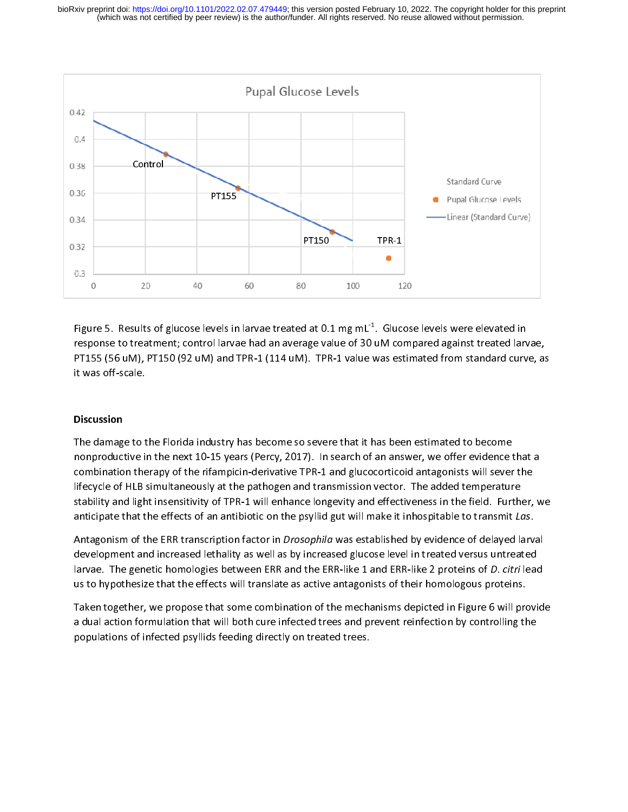

Fr<br>Fi Figure 5. Results of glucose levels in larvae treated at 0.1 mg mL<sup>-1</sup>. Glucose levels were elevated in response to treatment; control larvae had an average value of 30 uM compared against treated larvae, PT155 (56 uM), PT PT155 (56 uM), PT150 (92 uM) and TPR-1 (114 uM). TPR-1 value was estimated from standard curve, as PT155 (115), PT150 (115), PT150 (114 uM). The Second France was estimated from standard curve, as the Second Curve, as the Second Curve, as the Second Curve, as the Second Curve, as the Second Curve, as the Second Curve, a

# **Discussion**

The damage to the Florida industry has become so severe that it has been estimated to become  $\begin{array}{c} \n\blacksquare \\ \n\blacksquare \\ \n\blacksquare \n\end{array}$ The amazoge to the heat 10-15 years (Percy, 2017). In search of an answer, we offer evidence to<br>mbination therapy of the rifampicin-derivative TPR-1 and glucocorticoid antagonists will sever<br>lifecycle of HLB simultaneously combination therapy of the rifampicin-derivative TPR-1 and glucocorticoid antagonists will sever the<br>lifecycle of HLB simultaneously at the pathogen and transmission vector. The added temperature<br>stability and light insens combination therapy of the rinding paral and transmission vector. The added temperature<br>stability and light insensitivity of TPR-1 will enhance longevity and effectiveness in the field. Further,<br>anticipate that the effects Inity and light insensitivity of TPR-1 will enhance longevity and effectiveness in the field. Further<br>anticipate that the effects of an antibiotic on the psyllid gut will make it inhospitable to transmit Lost antagonism of

anticipate that the effects of an antibiotic on the psyllid gut will make it inhospitable to transmit *Las*.<br>Antagonism of the ERR transcription factor in *Drosophila* was established by evidence of delayed larval<br>develop anticipate that the effects of an antibiotic on the psyllid gut will make it inhospitable to transmit Lus.<br>Antagonism of the ERR transcription factor in *Drosophila* was established by evidence of delayed larvi<br>development Antagonism of the ERR transcription factor in Drosopinia was established by evidence of delayed larvar<br>development and increased lethality as well as by increased glucose level in treated versus untreated<br>larvae. The genet development and increased tended in the left and the ERR-like 1 and ERR-like 2 proteins of *D. citri* lead<br>us to hypothesize that the effects will translate as active antagonists of their homologous proteins.<br>Taken togethe

larvae. The genetic homologies between ERR and the ERR-like 1 and ERR-like 2 proteins of D. citri lead<br>us to hypothesize that the effects will translate as active antagonists of their homologous proteins.<br>Taken together, w Taken together, we propose that some combination of the mechanisms depicted in Figure 6 will provide a dual action formulation that will both cure infected trees and prevent reinfection by controlling the populations of in a dual action formulation that will both cure infected trees and prevent reinfection by controlling the populations of infected psyllids feeding directly on treated trees. populations of infected psyllids feeding directly on treated trees and prevent reinfection by controlling the state of the prevent reinfection by controlling the state of the prevent reinfection by controlling the state of populations of infected psyllids feeding directly on treated trees.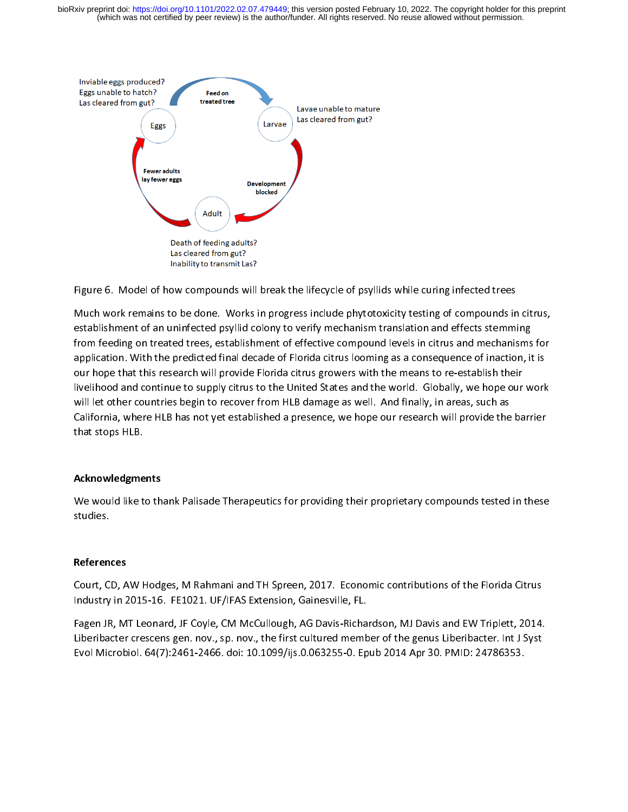(which was not certified by peer review) is the author/funder. All rights reserved. No reuse allowed without permission. bioRxiv preprint doi: [https://doi.org/10.1101/2022.02.07.479449;](https://doi.org/10.1101/2022.02.07.479449) this version posted February 10, 2022. The copyright holder for this preprint



 Figure 6. Model of how compounds will break the lifecycle of psyllids while curing infected trees<br>Much work remains to be done. Works in progress include phytotoxicity testing of compounds in citrus,<br>establishment of an un establishment of an uninfected psyllid colony to verify mechanism translation and effects stemming<br>from feeding on treated trees, establishment of effective compound levels in citrus and mechanisms for<br>application. With th from feeding on treated trees, establishment of effective compound levels in citrus and mechanisms<br>application. With the predicted final decade of Florida citrus looming as a consequence of inaction, it<br>our hope that this application. With the predicted final decade of Florida citrus looming as a consequence of inaction, it is<br>our hope that this research will provide Florida citrus growers with the means to re-establish their<br>livelihood and our hope that this research will provide Florida citrus growers with the means to re-establish their<br>livelihood and continue to supply citrus to the United States and the world. Globally, we hope our work<br>will let other co livelihood and continue to supply citrus to the United States and the world. Globally, we hope our work<br>will let other countries begin to recover from HLB damage as well. And finally, in areas, such as<br>California, where HL will let other countries begin to recover from HLB damage as well. And finally, in areas, such as<br>California, where HLB has not yet established a presence, we hope our research will provide the barrier<br>that stops HLB. while countries begins a countries begins a manage as well. And finally, in areas, such as<br>California, where HLB has not yet established a presence, we hope our research will provide the<br>that stops HLB.<br>Acknowledgments California, where HLB has not yet established a presence, we hope our respectively in a provide the barrier.<br>has stops HLB.<br>Acknowledgments

# Acknowledgments

We would like to thank Palisade Therapeutics for providing their proprietary compounds tested in these We would like to thank Palisade Therapeutics for providing the providing test experiences in the proprietary compounds tested in the proprietary compounds tested in the set of providing test experiences in the set of the s studies.<br>**References**<br>Court, CD, AW Hodges, M Rahmani and TH Spreen, 2017. Economic contributions of the Florida Citrus

 $\frac{1}{2}$ Industry in 2015-16. FE1021. UF/IFAS Extension, Gainesville, FL.<br>Fagen JR, MT Leonard, JF Coyle, CM McCullough, AG Davis-Richardson, MJ Davis and EW Triplett, 2014.

Court, Court, Court, Court, Court, Court, Court, Court, Court, Court, Court, Court, Court, Court, Court, Court<br>Court, Capen JR, MT Leonard, JF Coyle, CM McCullough, AG Davis-Richardson, MJ Davis and EW Triplett, 2014.<br>Citr Industry in 2015-2016. Protes to your Entertainty, Christmash, Tagen JR, MT Leonard, JF Coyle, CM McCullough, AG Davis-Richa<br>Liberibacter crescens gen. nov., sp. nov., the first cultured memb<br>Evol Microbiol. 64(7):2461-246 Fagen Hymn Leonard, HT Leyrey Emmiltenardgh, METRIM Manufettin, MITE and EMTRIM Inputer, Line<br>Liberibacter crescens gen. nov., sp. nov., the first cultured member of the genus Liberibacter. Int J Syst<br>Evol Microbiol. 64(7) Evol Microbiol. 64(7):2461-2466. doi: 10.1099/ijs.0.063255-0. Epub 2014 Apr 30. PMID: 24786353. Evol Microbiol. 64(7):2461-2466. doi: 10.1099/ijs.0.063255-0. Epub 2014 Apr 30. PMID: 24786353.